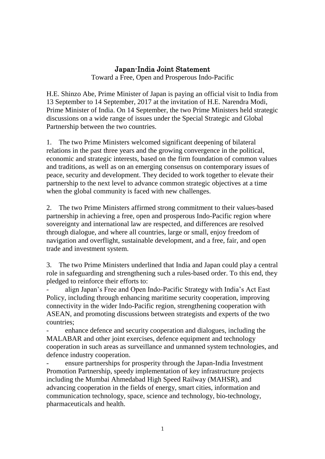#### Japan-India Joint Statement

Toward a Free, Open and Prosperous Indo-Pacific

H.E. Shinzo Abe, Prime Minister of Japan is paying an official visit to India from 13 September to 14 September, 2017 at the invitation of H.E. Narendra Modi, Prime Minister of India. On 14 September, the two Prime Ministers held strategic discussions on a wide range of issues under the Special Strategic and Global Partnership between the two countries.

1. The two Prime Ministers welcomed significant deepening of bilateral relations in the past three years and the growing convergence in the political, economic and strategic interests, based on the firm foundation of common values and traditions, as well as on an emerging consensus on contemporary issues of peace, security and development. They decided to work together to elevate their partnership to the next level to advance common strategic objectives at a time when the global community is faced with new challenges.

2. The two Prime Ministers affirmed strong commitment to their values-based partnership in achieving a free, open and prosperous Indo-Pacific region where sovereignty and international law are respected, and differences are resolved through dialogue, and where all countries, large or small, enjoy freedom of navigation and overflight, sustainable development, and a free, fair, and open trade and investment system.

3. The two Prime Ministers underlined that India and Japan could play a central role in safeguarding and strengthening such a rules-based order. To this end, they pledged to reinforce their efforts to:

- align Japan's Free and Open Indo-Pacific Strategy with India's Act East Policy, including through enhancing maritime security cooperation, improving connectivity in the wider Indo-Pacific region, strengthening cooperation with ASEAN, and promoting discussions between strategists and experts of the two countries;

- enhance defence and security cooperation and dialogues, including the MALABAR and other joint exercises, defence equipment and technology cooperation in such areas as surveillance and unmanned system technologies, and defence industry cooperation.

ensure partnerships for prosperity through the Japan-India Investment Promotion Partnership, speedy implementation of key infrastructure projects including the Mumbai Ahmedabad High Speed Railway (MAHSR), and advancing cooperation in the fields of energy, smart cities, information and communication technology, space, science and technology, bio-technology, pharmaceuticals and health.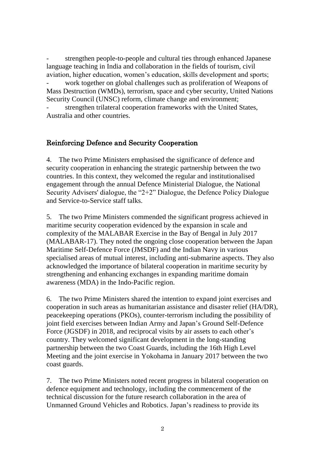strengthen people-to-people and cultural ties through enhanced Japanese language teaching in India and collaboration in the fields of tourism, civil aviation, higher education, women's education, skills development and sports; work together on global challenges such as proliferation of Weapons of Mass Destruction (WMDs), terrorism, space and cyber security, United Nations Security Council (UNSC) reform, climate change and environment;

strengthen trilateral cooperation frameworks with the United States, Australia and other countries.

#### Reinforcing Defence and Security Cooperation

4. The two Prime Ministers emphasised the significance of defence and security cooperation in enhancing the strategic partnership between the two countries. In this context, they welcomed the regular and institutionalised engagement through the annual Defence Ministerial Dialogue, the National Security Advisers' dialogue, the "2+2" Dialogue, the Defence Policy Dialogue and Service-to-Service staff talks.

5. The two Prime Ministers commended the significant progress achieved in maritime security cooperation evidenced by the expansion in scale and complexity of the MALABAR Exercise in the Bay of Bengal in July 2017 (MALABAR-17). They noted the ongoing close cooperation between the Japan Maritime Self-Defence Force (JMSDF) and the Indian Navy in various specialised areas of mutual interest, including anti-submarine aspects. They also acknowledged the importance of bilateral cooperation in maritime security by strengthening and enhancing exchanges in expanding maritime domain awareness (MDA) in the Indo-Pacific region.

6. The two Prime Ministers shared the intention to expand joint exercises and cooperation in such areas as humanitarian assistance and disaster relief (HA/DR), peacekeeping operations (PKOs), counter-terrorism including the possibility of joint field exercises between Indian Army and Japan's Ground Self-Defence Force (JGSDF) in 2018, and reciprocal visits by air assets to each other's country. They welcomed significant development in the long-standing partnership between the two Coast Guards, including the 16th High Level Meeting and the joint exercise in Yokohama in January 2017 between the two coast guards.

7. The two Prime Ministers noted recent progress in bilateral cooperation on defence equipment and technology, including the commencement of the technical discussion for the future research collaboration in the area of Unmanned Ground Vehicles and Robotics. Japan's readiness to provide its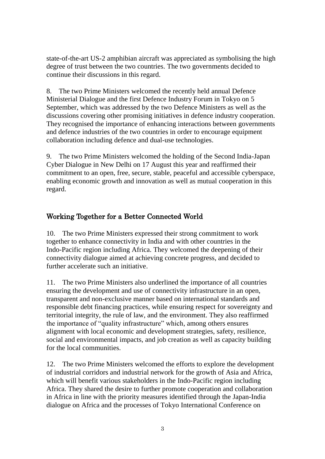state-of-the-art US-2 amphibian aircraft was appreciated as symbolising the high degree of trust between the two countries. The two governments decided to continue their discussions in this regard.

8. The two Prime Ministers welcomed the recently held annual Defence Ministerial Dialogue and the first Defence Industry Forum in Tokyo on 5 September, which was addressed by the two Defence Ministers as well as the discussions covering other promising initiatives in defence industry cooperation. They recognised the importance of enhancing interactions between governments and defence industries of the two countries in order to encourage equipment collaboration including defence and dual-use technologies.

9. The two Prime Ministers welcomed the holding of the Second India-Japan Cyber Dialogue in New Delhi on 17 August this year and reaffirmed their commitment to an open, free, secure, stable, peaceful and accessible cyberspace, enabling economic growth and innovation as well as mutual cooperation in this regard.

# Working Together for a Better Connected World

10. The two Prime Ministers expressed their strong commitment to work together to enhance connectivity in India and with other countries in the Indo-Pacific region including Africa. They welcomed the deepening of their connectivity dialogue aimed at achieving concrete progress, and decided to further accelerate such an initiative.

11. The two Prime Ministers also underlined the importance of all countries ensuring the development and use of connectivity infrastructure in an open, transparent and non-exclusive manner based on international standards and responsible debt financing practices, while ensuring respect for sovereignty and territorial integrity, the rule of law, and the environment. They also reaffirmed the importance of "quality infrastructure" which, among others ensures alignment with local economic and development strategies, safety, resilience, social and environmental impacts, and job creation as well as capacity building for the local communities.

12. The two Prime Ministers welcomed the efforts to explore the development of industrial corridors and industrial network for the growth of Asia and Africa, which will benefit various stakeholders in the Indo-Pacific region including Africa. They shared the desire to further promote cooperation and collaboration in Africa in line with the priority measures identified through the Japan-India dialogue on Africa and the processes of Tokyo International Conference on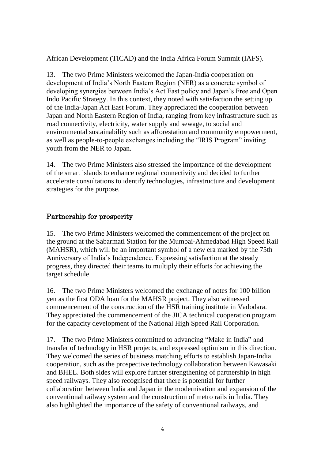African Development (TICAD) and the India Africa Forum Summit (IAFS).

13. The two Prime Ministers welcomed the Japan-India cooperation on development of India's North Eastern Region (NER) as a concrete symbol of developing synergies between India's Act East policy and Japan's Free and Open Indo Pacific Strategy. In this context, they noted with satisfaction the setting up of the India-Japan Act East Forum. They appreciated the cooperation between Japan and North Eastern Region of India, ranging from key infrastructure such as road connectivity, electricity, water supply and sewage, to social and environmental sustainability such as afforestation and community empowerment, as well as people-to-people exchanges including the "IRIS Program" inviting youth from the NER to Japan.

14. The two Prime Ministers also stressed the importance of the development of the smart islands to enhance regional connectivity and decided to further accelerate consultations to identify technologies, infrastructure and development strategies for the purpose.

## Partnership for prosperity

15. The two Prime Ministers welcomed the commencement of the project on the ground at the Sabarmati Station for the Mumbai-Ahmedabad High Speed Rail (MAHSR), which will be an important symbol of a new era marked by the 75th Anniversary of India's Independence. Expressing satisfaction at the steady progress, they directed their teams to multiply their efforts for achieving the target schedule

16. The two Prime Ministers welcomed the exchange of notes for 100 billion yen as the first ODA loan for the MAHSR project. They also witnessed commencement of the construction of the HSR training institute in Vadodara. They appreciated the commencement of the JICA technical cooperation program for the capacity development of the National High Speed Rail Corporation.

17. The two Prime Ministers committed to advancing "Make in India" and transfer of technology in HSR projects, and expressed optimism in this direction. They welcomed the series of business matching efforts to establish Japan-India cooperation, such as the prospective technology collaboration between Kawasaki and BHEL. Both sides will explore further strengthening of partnership in high speed railways. They also recognised that there is potential for further collaboration between India and Japan in the modernisation and expansion of the conventional railway system and the construction of metro rails in India. They also highlighted the importance of the safety of conventional railways, and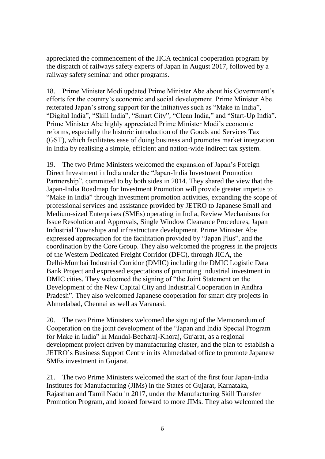appreciated the commencement of the JICA technical cooperation program by the dispatch of railways safety experts of Japan in August 2017, followed by a railway safety seminar and other programs.

18. Prime Minister Modi updated Prime Minister Abe about his Government's efforts for the country's economic and social development. Prime Minister Abe reiterated Japan's strong support for the initiatives such as "Make in India", "Digital India", "Skill India", "Smart City", "Clean India," and "Start-Up India". Prime Minister Abe highly appreciated Prime Minister Modi's economic reforms, especially the historic introduction of the Goods and Services Tax (GST), which facilitates ease of doing business and promotes market integration in India by realising a simple, efficient and nation-wide indirect tax system.

19. The two Prime Ministers welcomed the expansion of Japan's Foreign Direct Investment in India under the "Japan-India Investment Promotion Partnership", committed to by both sides in 2014. They shared the view that the Japan-India Roadmap for Investment Promotion will provide greater impetus to "Make in India" through investment promotion activities, expanding the scope of professional services and assistance provided by JETRO to Japanese Small and Medium-sized Enterprises (SMEs) operating in India, Review Mechanisms for Issue Resolution and Approvals, Single Window Clearance Procedures, Japan Industrial Townships and infrastructure development. Prime Minister Abe expressed appreciation for the facilitation provided by "Japan Plus", and the coordination by the Core Group. They also welcomed the progress in the projects of the Western Dedicated Freight Corridor (DFC), through JICA, the Delhi-Mumbai Industrial Corridor (DMIC) including the DMIC Logistic Data Bank Project and expressed expectations of promoting industrial investment in DMIC cities. They welcomed the signing of "the Joint Statement on the Development of the New Capital City and Industrial Cooperation in Andhra Pradesh". They also welcomed Japanese cooperation for smart city projects in Ahmedabad, Chennai as well as Varanasi.

20. The two Prime Ministers welcomed the signing of the Memorandum of Cooperation on the joint development of the "Japan and India Special Program for Make in India" in Mandal-Becharaj-Khoraj, Gujarat, as a regional development project driven by manufacturing cluster, and the plan to establish a JETRO's Business Support Centre in its Ahmedabad office to promote Japanese SMEs investment in Gujarat.

21. The two Prime Ministers welcomed the start of the first four Japan-India Institutes for Manufacturing (JIMs) in the States of Gujarat, Karnataka, Rajasthan and Tamil Nadu in 2017, under the Manufacturing Skill Transfer Promotion Program, and looked forward to more JIMs. They also welcomed the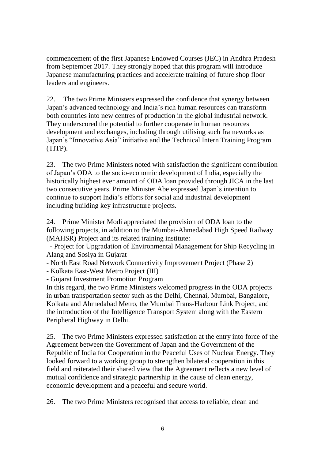commencement of the first Japanese Endowed Courses (JEC) in Andhra Pradesh from September 2017. They strongly hoped that this program will introduce Japanese manufacturing practices and accelerate training of future shop floor leaders and engineers.

22. The two Prime Ministers expressed the confidence that synergy between Japan's advanced technology and India's rich human resources can transform both countries into new centres of production in the global industrial network. They underscored the potential to further cooperate in human resources development and exchanges, including through utilising such frameworks as Japan's "Innovative Asia" initiative and the Technical Intern Training Program (TITP).

23. The two Prime Ministers noted with satisfaction the significant contribution of Japan's ODA to the socio-economic development of India, especially the historically highest ever amount of ODA loan provided through JICA in the last two consecutive years. Prime Minister Abe expressed Japan's intention to continue to support India's efforts for social and industrial development including building key infrastructure projects.

24. Prime Minister Modi appreciated the provision of ODA loan to the following projects, in addition to the Mumbai-Ahmedabad High Speed Railway (MAHSR) Project and its related training institute:

- Project for Upgradation of Environmental Management for Ship Recycling in Alang and Sosiya in Gujarat

- North East Road Network Connectivity Improvement Project (Phase 2)

- Kolkata East-West Metro Project (III)

- Gujarat Investment Promotion Program

In this regard, the two Prime Ministers welcomed progress in the ODA projects in urban transportation sector such as the Delhi, Chennai, Mumbai, Bangalore, Kolkata and Ahmedabad Metro, the Mumbai Trans-Harbour Link Project, and the introduction of the Intelligence Transport System along with the Eastern Peripheral Highway in Delhi.

25. The two Prime Ministers expressed satisfaction at the entry into force of the Agreement between the Government of Japan and the Government of the Republic of India for Cooperation in the Peaceful Uses of Nuclear Energy. They looked forward to a working group to strengthen bilateral cooperation in this field and reiterated their shared view that the Agreement reflects a new level of mutual confidence and strategic partnership in the cause of clean energy, economic development and a peaceful and secure world.

26. The two Prime Ministers recognised that access to reliable, clean and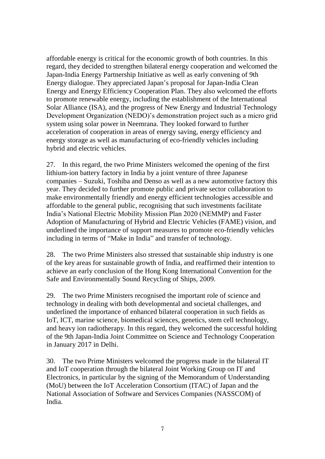affordable energy is critical for the economic growth of both countries. In this regard, they decided to strengthen bilateral energy cooperation and welcomed the Japan-India Energy Partnership Initiative as well as early convening of 9th Energy dialogue. They appreciated Japan's proposal for Japan-India Clean Energy and Energy Efficiency Cooperation Plan. They also welcomed the efforts to promote renewable energy, including the establishment of the International Solar Alliance (ISA), and the progress of New Energy and Industrial Technology Development Organization (NEDO)'s demonstration project such as a micro grid system using solar power in Neemrana. They looked forward to further acceleration of cooperation in areas of energy saving, energy efficiency and energy storage as well as manufacturing of eco-friendly vehicles including hybrid and electric vehicles.

27. In this regard, the two Prime Ministers welcomed the opening of the first lithium-ion battery factory in India by a joint venture of three Japanese companies – Suzuki, Toshiba and Denso as well as a new automotive factory this year. They decided to further promote public and private sector collaboration to make environmentally friendly and energy efficient technologies accessible and affordable to the general public, recognising that such investments facilitate India's National Electric Mobility Mission Plan 2020 (NEMMP) and Faster Adoption of Manufacturing of Hybrid and Electric Vehicles (FAME) vision, and underlined the importance of support measures to promote eco-friendly vehicles including in terms of "Make in India" and transfer of technology.

28. The two Prime Ministers also stressed that sustainable ship industry is one of the key areas for sustainable growth of India, and reaffirmed their intention to achieve an early conclusion of the Hong Kong International Convention for the Safe and Environmentally Sound Recycling of Ships, 2009.

29. The two Prime Ministers recognised the important role of science and technology in dealing with both developmental and societal challenges, and underlined the importance of enhanced bilateral cooperation in such fields as IoT, ICT, marine science, biomedical sciences, genetics, stem cell technology, and heavy ion radiotherapy. In this regard, they welcomed the successful holding of the 9th Japan-India Joint Committee on Science and Technology Cooperation in January 2017 in Delhi.

30. The two Prime Ministers welcomed the progress made in the bilateral IT and IoT cooperation through the bilateral Joint Working Group on IT and Electronics, in particular by the signing of the Memorandum of Understanding (MoU) between the IoT Acceleration Consortium (ITAC) of Japan and the National Association of Software and Services Companies (NASSCOM) of India.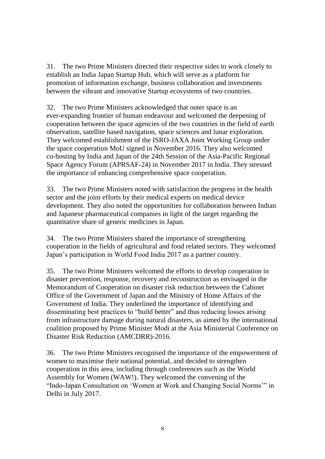31. The two Prime Ministers directed their respective sides to work closely to establish an India Japan Startup Hub, which will serve as a platform for promotion of information exchange, business collaboration and investments between the vibrant and innovative Startup ecosystems of two countries.

32. The two Prime Ministers acknowledged that outer space is an ever-expanding frontier of human endeavour and welcomed the deepening of cooperation between the space agencies of the two countries in the field of earth observation, satellite based navigation, space sciences and lunar exploration. They welcomed establishment of the ISRO-JAXA Joint Working Group under the space cooperation MoU signed in November 2016. They also welcomed co-hosting by India and Japan of the 24th Session of the Asia-Pacific Regional Space Agency Forum (APRSAF-24) in November 2017 in India. They stressed the importance of enhancing comprehensive space cooperation.

33. The two Prime Ministers noted with satisfaction the progress in the health sector and the joint efforts by their medical experts on medical device development. They also noted the opportunities for collaboration between Indian and Japanese pharmaceutical companies in light of the target regarding the quantitative share of generic medicines in Japan.

34. The two Prime Ministers shared the importance of strengthening cooperation in the fields of agricultural and food related sectors. They welcomed Japan's participation in World Food India 2017 as a partner country.

35. The two Prime Ministers welcomed the efforts to develop cooperation in disaster prevention, response, recovery and reconstruction as envisaged in the Memorandum of Cooperation on disaster risk reduction between the Cabinet Office of the Government of Japan and the Ministry of Home Affairs of the Government of India. They underlined the importance of identifying and disseminating best practices to "build better" and thus reducing losses arising from infrastructure damage during natural disasters, as aimed by the international coalition proposed by Prime Minister Modi at the Asia Ministerial Conference on Disaster Risk Reduction (AMCDRR)-2016.

36. The two Prime Ministers recognised the importance of the empowerment of women to maximise their national potential, and decided to strengthen cooperation in this area, including through conferences such as the World Assembly for Women (WAW!). They welcomed the convening of the "Indo-Japan Consultation on 'Women at Work and Changing Social Norms'" in Delhi in July 2017.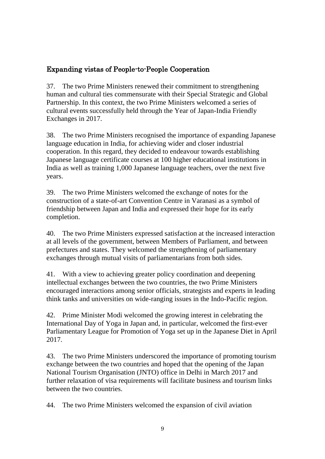## Expanding vistas of People-to-People Cooperation

37. The two Prime Ministers renewed their commitment to strengthening human and cultural ties commensurate with their Special Strategic and Global Partnership. In this context, the two Prime Ministers welcomed a series of cultural events successfully held through the Year of Japan-India Friendly Exchanges in 2017.

38. The two Prime Ministers recognised the importance of expanding Japanese language education in India, for achieving wider and closer industrial cooperation. In this regard, they decided to endeavour towards establishing Japanese language certificate courses at 100 higher educational institutions in India as well as training 1,000 Japanese language teachers, over the next five years.

39. The two Prime Ministers welcomed the exchange of notes for the construction of a state-of-art Convention Centre in Varanasi as a symbol of friendship between Japan and India and expressed their hope for its early completion.

40. The two Prime Ministers expressed satisfaction at the increased interaction at all levels of the government, between Members of Parliament, and between prefectures and states. They welcomed the strengthening of parliamentary exchanges through mutual visits of parliamentarians from both sides.

41. With a view to achieving greater policy coordination and deepening intellectual exchanges between the two countries, the two Prime Ministers encouraged interactions among senior officials, strategists and experts in leading think tanks and universities on wide-ranging issues in the Indo-Pacific region.

42. Prime Minister Modi welcomed the growing interest in celebrating the International Day of Yoga in Japan and, in particular, welcomed the first-ever Parliamentary League for Promotion of Yoga set up in the Japanese Diet in April 2017.

43. The two Prime Ministers underscored the importance of promoting tourism exchange between the two countries and hoped that the opening of the Japan National Tourism Organisation (JNTO) office in Delhi in March 2017 and further relaxation of visa requirements will facilitate business and tourism links between the two countries.

44. The two Prime Ministers welcomed the expansion of civil aviation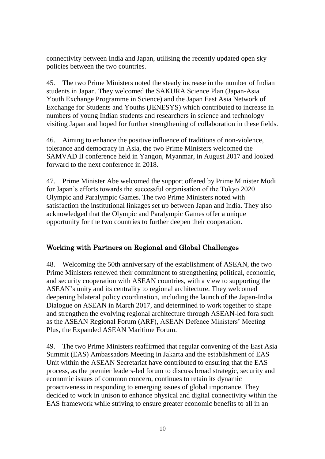connectivity between India and Japan, utilising the recently updated open sky policies between the two countries.

45. The two Prime Ministers noted the steady increase in the number of Indian students in Japan. They welcomed the SAKURA Science Plan (Japan-Asia Youth Exchange Programme in Science) and the Japan East Asia Network of Exchange for Students and Youths (JENESYS) which contributed to increase in numbers of young Indian students and researchers in science and technology visiting Japan and hoped for further strengthening of collaboration in these fields.

46. Aiming to enhance the positive influence of traditions of non-violence, tolerance and democracy in Asia, the two Prime Ministers welcomed the SAMVAD II conference held in Yangon, Myanmar, in August 2017 and looked forward to the next conference in 2018.

47. Prime Minister Abe welcomed the support offered by Prime Minister Modi for Japan's efforts towards the successful organisation of the Tokyo 2020 Olympic and Paralympic Games. The two Prime Ministers noted with satisfaction the institutional linkages set up between Japan and India. They also acknowledged that the Olympic and Paralympic Games offer a unique opportunity for the two countries to further deepen their cooperation.

## Working with Partners on Regional and Global Challenges

48. Welcoming the 50th anniversary of the establishment of ASEAN, the two Prime Ministers renewed their commitment to strengthening political, economic, and security cooperation with ASEAN countries, with a view to supporting the ASEAN's unity and its centrality to regional architecture. They welcomed deepening bilateral policy coordination, including the launch of the Japan-India Dialogue on ASEAN in March 2017, and determined to work together to shape and strengthen the evolving regional architecture through ASEAN-led fora such as the ASEAN Regional Forum (ARF), ASEAN Defence Ministers' Meeting Plus, the Expanded ASEAN Maritime Forum.

49. The two Prime Ministers reaffirmed that regular convening of the East Asia Summit (EAS) Ambassadors Meeting in Jakarta and the establishment of EAS Unit within the ASEAN Secretariat have contributed to ensuring that the EAS process, as the premier leaders-led forum to discuss broad strategic, security and economic issues of common concern, continues to retain its dynamic proactiveness in responding to emerging issues of global importance. They decided to work in unison to enhance physical and digital connectivity within the EAS framework while striving to ensure greater economic benefits to all in an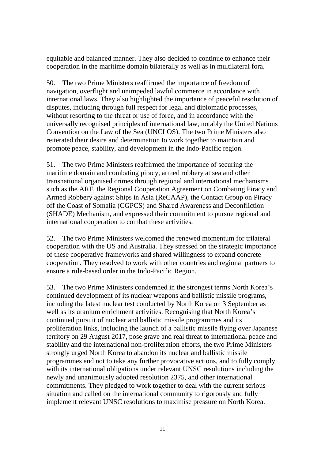equitable and balanced manner. They also decided to continue to enhance their cooperation in the maritime domain bilaterally as well as in multilateral fora.

50. The two Prime Ministers reaffirmed the importance of freedom of navigation, overflight and unimpeded lawful commerce in accordance with international laws. They also highlighted the importance of peaceful resolution of disputes, including through full respect for legal and diplomatic processes, without resorting to the threat or use of force, and in accordance with the universally recognised principles of international law, notably the United Nations Convention on the Law of the Sea (UNCLOS). The two Prime Ministers also reiterated their desire and determination to work together to maintain and promote peace, stability, and development in the Indo-Pacific region.

51. The two Prime Ministers reaffirmed the importance of securing the maritime domain and combating piracy, armed robbery at sea and other transnational organised crimes through regional and international mechanisms such as the ARF, the Regional Cooperation Agreement on Combating Piracy and Armed Robbery against Ships in Asia (ReCAAP), the Contact Group on Piracy off the Coast of Somalia (CGPCS) and Shared Awareness and Deconfliction (SHADE) Mechanism, and expressed their commitment to pursue regional and international cooperation to combat these activities.

52. The two Prime Ministers welcomed the renewed momentum for trilateral cooperation with the US and Australia. They stressed on the strategic importance of these cooperative frameworks and shared willingness to expand concrete cooperation. They resolved to work with other countries and regional partners to ensure a rule-based order in the Indo-Pacific Region.

53. The two Prime Ministers condemned in the strongest terms North Korea's continued development of its nuclear weapons and ballistic missile programs, including the latest nuclear test conducted by North Korea on 3 September as well as its uranium enrichment activities. Recognising that North Korea's continued pursuit of nuclear and ballistic missile programmes and its proliferation links, including the launch of a ballistic missile flying over Japanese territory on 29 August 2017, pose grave and real threat to international peace and stability and the international non-proliferation efforts, the two Prime Ministers strongly urged North Korea to abandon its nuclear and ballistic missile programmes and not to take any further provocative actions, and to fully comply with its international obligations under relevant UNSC resolutions including the newly and unanimously adopted resolution 2375, and other international commitments. They pledged to work together to deal with the current serious situation and called on the international community to rigorously and fully implement relevant UNSC resolutions to maximise pressure on North Korea.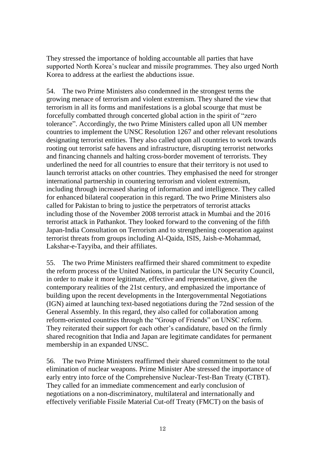They stressed the importance of holding accountable all parties that have supported North Korea's nuclear and missile programmes. They also urged North Korea to address at the earliest the abductions issue.

54. The two Prime Ministers also condemned in the strongest terms the growing menace of terrorism and violent extremism. They shared the view that terrorism in all its forms and manifestations is a global scourge that must be forcefully combatted through concerted global action in the spirit of "zero tolerance". Accordingly, the two Prime Ministers called upon all UN member countries to implement the UNSC Resolution 1267 and other relevant resolutions designating terrorist entities. They also called upon all countries to work towards rooting out terrorist safe havens and infrastructure, disrupting terrorist networks and financing channels and halting cross-border movement of terrorists. They underlined the need for all countries to ensure that their territory is not used to launch terrorist attacks on other countries. They emphasised the need for stronger international partnership in countering terrorism and violent extremism, including through increased sharing of information and intelligence. They called for enhanced bilateral cooperation in this regard. The two Prime Ministers also called for Pakistan to bring to justice the perpetrators of terrorist attacks including those of the November 2008 terrorist attack in Mumbai and the 2016 terrorist attack in Pathankot. They looked forward to the convening of the fifth Japan-India Consultation on Terrorism and to strengthening cooperation against terrorist threats from groups including Al-Qaida, ISIS, Jaish-e-Mohammad, Lakshar-e-Tayyiba, and their affiliates.

55. The two Prime Ministers reaffirmed their shared commitment to expedite the reform process of the United Nations, in particular the UN Security Council, in order to make it more legitimate, effective and representative, given the contemporary realities of the 21st century, and emphasized the importance of building upon the recent developments in the Intergovernmental Negotiations (IGN) aimed at launching text-based negotiations during the 72nd session of the General Assembly. In this regard, they also called for collaboration among reform-oriented countries through the "Group of Friends" on UNSC reform. They reiterated their support for each other's candidature, based on the firmly shared recognition that India and Japan are legitimate candidates for permanent membership in an expanded UNSC.

56. The two Prime Ministers reaffirmed their shared commitment to the total elimination of nuclear weapons. Prime Minister Abe stressed the importance of early entry into force of the Comprehensive Nuclear-Test-Ban Treaty (CTBT). They called for an immediate commencement and early conclusion of negotiations on a non-discriminatory, multilateral and internationally and effectively verifiable Fissile Material Cut-off Treaty (FMCT) on the basis of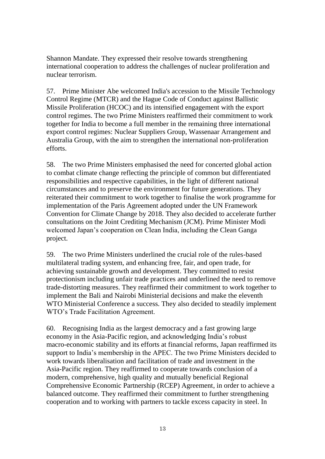Shannon Mandate. They expressed their resolve towards strengthening international cooperation to address the challenges of nuclear proliferation and nuclear terrorism.

57. Prime Minister Abe welcomed India's accession to the Missile Technology Control Regime (MTCR) and the Hague Code of Conduct against Ballistic Missile Proliferation (HCOC) and its intensified engagement with the export control regimes. The two Prime Ministers reaffirmed their commitment to work together for India to become a full member in the remaining three international export control regimes: Nuclear Suppliers Group, Wassenaar Arrangement and Australia Group, with the aim to strengthen the international non-proliferation efforts.

58. The two Prime Ministers emphasised the need for concerted global action to combat climate change reflecting the principle of common but differentiated responsibilities and respective capabilities, in the light of different national circumstances and to preserve the environment for future generations. They reiterated their commitment to work together to finalise the work programme for implementation of the Paris Agreement adopted under the UN Framework Convention for Climate Change by 2018. They also decided to accelerate further consultations on the Joint Crediting Mechanism (JCM). Prime Minister Modi welcomed Japan's cooperation on Clean India, including the Clean Ganga project.

59. The two Prime Ministers underlined the crucial role of the rules-based multilateral trading system, and enhancing free, fair, and open trade, for achieving sustainable growth and development. They committed to resist protectionism including unfair trade practices and underlined the need to remove trade-distorting measures. They reaffirmed their commitment to work together to implement the Bali and Nairobi Ministerial decisions and make the eleventh WTO Ministerial Conference a success. They also decided to steadily implement WTO's Trade Facilitation Agreement.

60. Recognising India as the largest democracy and a fast growing large economy in the Asia-Pacific region, and acknowledging India's robust macro-economic stability and its efforts at financial reforms, Japan reaffirmed its support to India's membership in the APEC. The two Prime Ministers decided to work towards liberalisation and facilitation of trade and investment in the Asia-Pacific region. They reaffirmed to cooperate towards conclusion of a modern, comprehensive, high quality and mutually beneficial Regional Comprehensive Economic Partnership (RCEP) Agreement, in order to achieve a balanced outcome. They reaffirmed their commitment to further strengthening cooperation and to working with partners to tackle excess capacity in steel. In